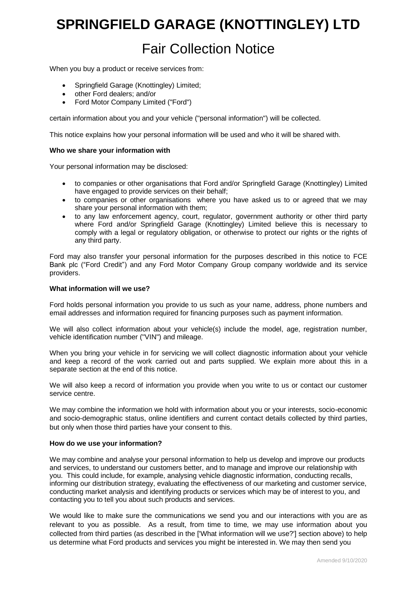# **SPRINGFIELD GARAGE (KNOTTINGLEY) LTD**

# Fair Collection Notice

When you buy a product or receive services from:

- Springfield Garage (Knottingley) Limited;
- other Ford dealers; and/or
- Ford Motor Company Limited ("Ford")

certain information about you and your vehicle ("personal information") will be collected.

This notice explains how your personal information will be used and who it will be shared with.

#### **Who we share your information with**

Your personal information may be disclosed:

- to companies or other organisations that Ford and/or Springfield Garage (Knottingley) Limited have engaged to provide services on their behalf;
- to companies or other organisations where you have asked us to or agreed that we may share your personal information with them;
- to any law enforcement agency, court, regulator, government authority or other third party where Ford and/or Springfield Garage (Knottingley) Limited believe this is necessary to comply with a legal or regulatory obligation, or otherwise to protect our rights or the rights of any third party.

Ford may also transfer your personal information for the purposes described in this notice to FCE Bank plc ("Ford Credit") and any Ford Motor Company Group company worldwide and its service providers.

#### **What information will we use?**

Ford holds personal information you provide to us such as your name, address, phone numbers and email addresses and information required for financing purposes such as payment information.

We will also collect information about your vehicle(s) include the model, age, registration number, vehicle identification number ("VIN") and mileage.

When you bring your vehicle in for servicing we will collect diagnostic information about your vehicle and keep a record of the work carried out and parts supplied. We explain more about this in a separate section at the end of this notice.

We will also keep a record of information you provide when you write to us or contact our customer service centre.

We may combine the information we hold with information about you or your interests, socio-economic and socio-demographic status, online identifiers and current contact details collected by third parties, but only when those third parties have your consent to this.

#### **How do we use your information?**

We may combine and analyse your personal information to help us develop and improve our products and services, to understand our customers better, and to manage and improve our relationship with you. This could include, for example, analysing vehicle diagnostic information, conducting recalls, informing our distribution strategy, evaluating the effectiveness of our marketing and customer service, conducting market analysis and identifying products or services which may be of interest to you, and contacting you to tell you about such products and services.

We would like to make sure the communications we send you and our interactions with you are as relevant to you as possible. As a result, from time to time, we may use information about you collected from third parties (as described in the ['What information will we use?'] section above) to help us determine what Ford products and services you might be interested in. We may then send you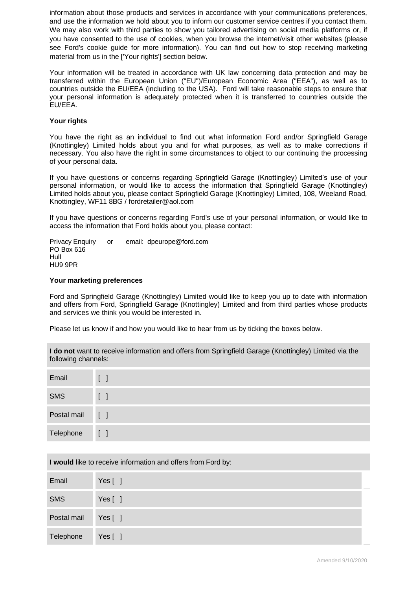information about those products and services in accordance with your communications preferences, and use the information we hold about you to inform our customer service centres if you contact them. We may also work with third parties to show you tailored advertising on social media platforms or, if you have consented to the use of cookies, when you browse the internet/visit other websites (please see Ford's cookie guide for more information). You can find out how to stop receiving marketing material from us in the ['Your rights'] section below.

Your information will be treated in accordance with UK law concerning data protection and may be transferred within the European Union ("EU")/European Economic Area ("EEA"), as well as to countries outside the EU/EEA (including to the USA). Ford will take reasonable steps to ensure that your personal information is adequately protected when it is transferred to countries outside the EU/EEA.

## **Your rights**

You have the right as an individual to find out what information Ford and/or Springfield Garage (Knottingley) Limited holds about you and for what purposes, as well as to make corrections if necessary. You also have the right in some circumstances to object to our continuing the processing of your personal data.

If you have questions or concerns regarding Springfield Garage (Knottingley) Limited's use of your personal information, or would like to access the information that Springfield Garage (Knottingley) Limited holds about you, please contact Springfield Garage (Knottingley) Limited, 108, Weeland Road, Knottingley, WF11 8BG / fordretailer@aol.com

If you have questions or concerns regarding Ford's use of your personal information, or would like to access the information that Ford holds about you, please contact:

Privacy Enquiry or email: dpeurope@ford.com PO Box 616 Hull HU9 9PR

#### **Your marketing preferences**

Ford and Springfield Garage (Knottingley) Limited would like to keep you up to date with information and offers from Ford, Springfield Garage (Knottingley) Limited and from third parties whose products and services we think you would be interested in.

Please let us know if and how you would like to hear from us by ticking the boxes below.

I **do not** want to receive information and offers from Springfield Garage (Knottingley) Limited via the following channels:

| Email           | $\begin{bmatrix} \end{bmatrix}$ |
|-----------------|---------------------------------|
| SMS             | $\begin{bmatrix} \end{bmatrix}$ |
| Postal mail [ ] |                                 |
| Telephone       | $\begin{bmatrix} \end{bmatrix}$ |

| I would like to receive information and offers from Ford by: |  |
|--------------------------------------------------------------|--|
|--------------------------------------------------------------|--|

| Email              | Yes $[ ]$ |  |
|--------------------|-----------|--|
| <b>SMS</b>         | Yes $[ ]$ |  |
| Postal mail Yes [] |           |  |
| Telephone          | Yes [ ]   |  |